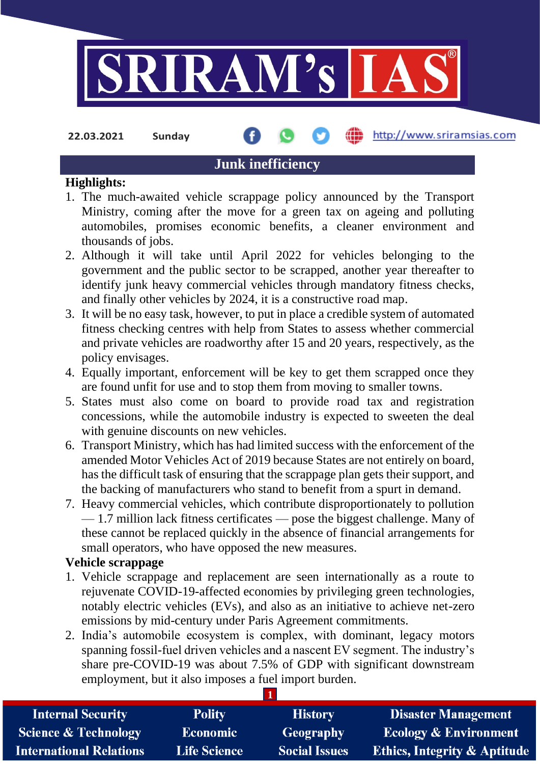

**22.03.2021 Sunday**

#### http://www.sriramsias.com

# **Junk inefficiency**

## **Highlights:**

- 1. The much-awaited vehicle scrappage policy announced by the Transport Ministry, coming after the move for a green tax on ageing and polluting automobiles, promises economic benefits, a cleaner environment and thousands of jobs.
- 2. Although it will take until April 2022 for vehicles belonging to the government and the public sector to be scrapped, another year thereafter to identify junk heavy commercial vehicles through mandatory fitness checks, and finally other vehicles by 2024, it is a constructive road map.
- 3. It will be no easy task, however, to put in place a credible system of automated fitness checking centres with help from States to assess whether commercial and private vehicles are roadworthy after 15 and 20 years, respectively, as the policy envisages.
- 4. Equally important, enforcement will be key to get them scrapped once they are found unfit for use and to stop them from moving to smaller towns.
- 5. States must also come on board to provide road tax and registration concessions, while the automobile industry is expected to sweeten the deal with genuine discounts on new vehicles.
- 6. Transport Ministry, which has had limited success with the enforcement of the amended Motor Vehicles Act of 2019 because States are not entirely on board, has the difficult task of ensuring that the scrappage plan gets their support, and the backing of manufacturers who stand to benefit from a spurt in demand.
- 7. Heavy commercial vehicles, which contribute disproportionately to pollution — 1.7 million lack fitness certificates — pose the biggest challenge. Many of these cannot be replaced quickly in the absence of financial arrangements for small operators, who have opposed the new measures.

## **Vehicle scrappage**

- 1. Vehicle scrappage and replacement are seen internationally as a route to rejuvenate COVID-19-affected economies by privileging green technologies, notably electric vehicles (EVs), and also as an initiative to achieve net-zero emissions by mid-century under Paris Agreement commitments.
- 2. India's automobile ecosystem is complex, with dominant, legacy motors spanning fossil-fuel driven vehicles and a nascent EV segment. The industry's share pre-COVID-19 was about 7.5% of GDP with significant downstream employment, but it also imposes a fuel import burden.

| <b>Internal Security</b>        | <b>Polity</b>       | <b>History</b>       | <b>Disaster Management</b>              |
|---------------------------------|---------------------|----------------------|-----------------------------------------|
| <b>Science &amp; Technology</b> | <b>Economic</b>     | Geography            | <b>Ecology &amp; Environment</b>        |
| <b>International Relations</b>  | <b>Life Science</b> | <b>Social Issues</b> | <b>Ethics, Integrity &amp; Aptitude</b> |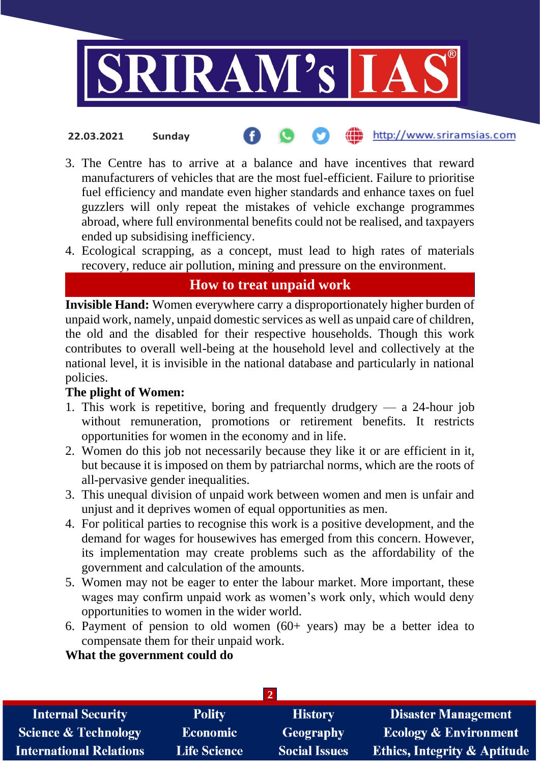

- http://www.sriramsias.com **22.03.2021 Sunday**
- 3. The Centre has to arrive at a balance and have incentives that reward manufacturers of vehicles that are the most fuel-efficient. Failure to prioritise fuel efficiency and mandate even higher standards and enhance taxes on fuel guzzlers will only repeat the mistakes of vehicle exchange programmes abroad, where full environmental benefits could not be realised, and taxpayers ended up subsidising inefficiency.
- 4. Ecological scrapping, as a concept, must lead to high rates of materials recovery, reduce air pollution, mining and pressure on the environment.

# **How to treat unpaid work**

**Invisible Hand:** Women everywhere carry a disproportionately higher burden of unpaid work, namely, unpaid domestic services as well as unpaid care of children, the old and the disabled for their respective households. Though this work contributes to overall well-being at the household level and collectively at the national level, it is invisible in the national database and particularly in national policies.

## **The plight of Women:**

- 1. This work is repetitive, boring and frequently drudgery  $-$  a 24-hour job without remuneration, promotions or retirement benefits. It restricts opportunities for women in the economy and in life.
- 2. Women do this job not necessarily because they like it or are efficient in it, but because it is imposed on them by patriarchal norms, which are the roots of all-pervasive gender inequalities.
- 3. This unequal division of unpaid work between women and men is unfair and unjust and it deprives women of equal opportunities as men.
- 4. For political parties to recognise this work is a positive development, and the demand for wages for housewives has emerged from this concern. However, its implementation may create problems such as the affordability of the government and calculation of the amounts.
- 5. Women may not be eager to enter the labour market. More important, these wages may confirm unpaid work as women's work only, which would deny opportunities to women in the wider world.
- 6. Payment of pension to old women (60+ years) may be a better idea to compensate them for their unpaid work.

## **What the government could do**

| <b>Internal Security</b>        | <b>Polity</b>       | <b>History</b>       | <b>Disaster Management</b>              |  |  |  |
|---------------------------------|---------------------|----------------------|-----------------------------------------|--|--|--|
| <b>Science &amp; Technology</b> | <b>Economic</b>     | Geography            | <b>Ecology &amp; Environment</b>        |  |  |  |
| <b>International Relations</b>  | <b>Life Science</b> | <b>Social Issues</b> | <b>Ethics, Integrity &amp; Aptitude</b> |  |  |  |